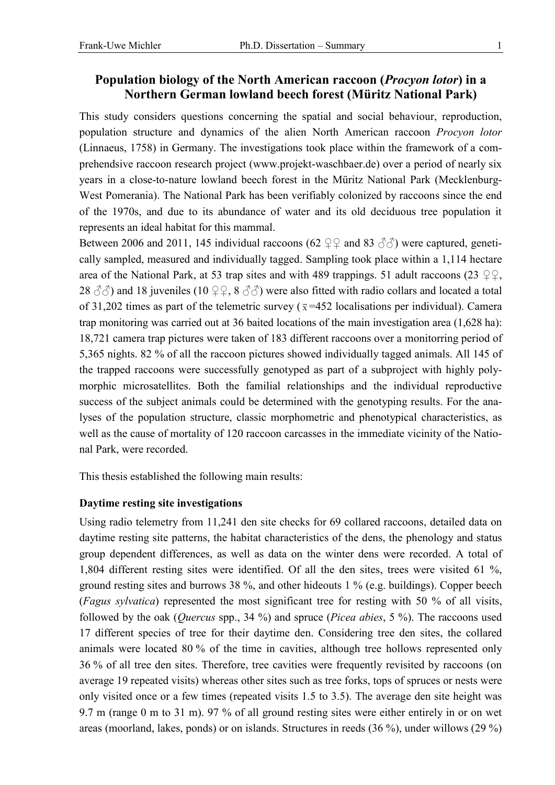# **Population biology of the North American raccoon (***Procyon lotor***) in a Northern German lowland beech forest (Müritz National Park)**

This study considers questions concerning the spatial and social behaviour, reproduction, population structure and dynamics of the alien North American raccoon *Procyon lotor* (Linnaeus, 1758) in Germany. The investigations took place within the framework of a comprehendsive raccoon research project (www.projekt-waschbaer.de) over a period of nearly six years in a close-to-nature lowland beech forest in the Müritz National Park (Mecklenburg-West Pomerania). The National Park has been verifiably colonized by raccoons since the end of the 1970s, and due to its abundance of water and its old deciduous tree population it represents an ideal habitat for this mammal.

Between 2006 and 2011, 145 individual raccoons (62  $\mathfrak{Q} \mathfrak{Q}$  and 83  $\mathfrak{F} \mathfrak{F}$ ) were captured, genetically sampled, measured and individually tagged. Sampling took place within a 1,114 hectare area of the National Park, at 53 trap sites and with 489 trappings. 51 adult raccoons (23  $\mathcal{QQ}$ , 28  $\langle 3\tilde{e}\rangle$  and 18 juveniles (10  $\mathfrak{Q} \mathfrak{Q}$ , 8  $\langle 3\tilde{e}\rangle$ ) were also fitted with radio collars and located a total of 31,202 times as part of the telemetric survey ( $\bar{x}$ =452 localisations per individual). Camera trap monitoring was carried out at 36 baited locations of the main investigation area (1,628 ha): 18,721 camera trap pictures were taken of 183 different raccoons over a monitorring period of 5,365 nights. 82 % of all the raccoon pictures showed individually tagged animals. All 145 of the trapped raccoons were successfully genotyped as part of a subproject with highly polymorphic microsatellites. Both the familial relationships and the individual reproductive success of the subject animals could be determined with the genotyping results. For the analyses of the population structure, classic morphometric and phenotypical characteristics, as well as the cause of mortality of 120 raccoon carcasses in the immediate vicinity of the National Park, were recorded.

This thesis established the following main results:

## **Daytime resting site investigations**

Using radio telemetry from 11,241 den site checks for 69 collared raccoons, detailed data on daytime resting site patterns, the habitat characteristics of the dens, the phenology and status group dependent differences, as well as data on the winter dens were recorded. A total of 1,804 different resting sites were identified. Of all the den sites, trees were visited 61 %, ground resting sites and burrows 38 %, and other hideouts 1 % (e.g. buildings). Copper beech (*Fagus sylvatica*) represented the most significant tree for resting with 50 % of all visits, followed by the oak (*Quercus* spp., 34 %) and spruce (*Picea abies*, 5 %). The raccoons used 17 different species of tree for their daytime den. Considering tree den sites, the collared animals were located 80 % of the time in cavities, although tree hollows represented only 36 % of all tree den sites. Therefore, tree cavities were frequently revisited by raccoons (on average 19 repeated visits) whereas other sites such as tree forks, tops of spruces or nests were only visited once or a few times (repeated visits 1.5 to 3.5). The average den site height was 9.7 m (range 0 m to 31 m). 97 % of all ground resting sites were either entirely in or on wet areas (moorland, lakes, ponds) or on islands. Structures in reeds (36 %), under willows (29 %)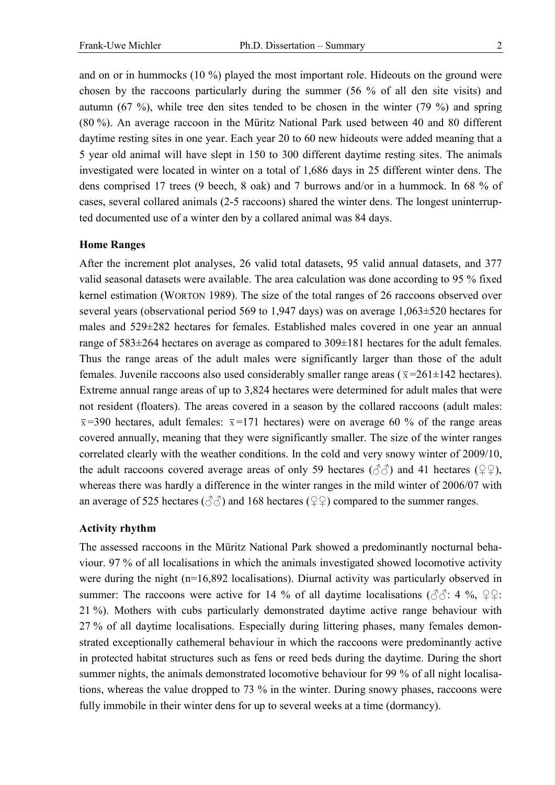and on or in hummocks (10 %) played the most important role. Hideouts on the ground were chosen by the raccoons particularly during the summer (56 % of all den site visits) and autumn (67 %), while tree den sites tended to be chosen in the winter (79 %) and spring (80 %). An average raccoon in the Müritz National Park used between 40 and 80 different daytime resting sites in one year. Each year 20 to 60 new hideouts were added meaning that a 5 year old animal will have slept in 150 to 300 different daytime resting sites. The animals investigated were located in winter on a total of 1,686 days in 25 different winter dens. The dens comprised 17 trees (9 beech, 8 oak) and 7 burrows and/or in a hummock. In 68 % of cases, several collared animals (2-5 raccoons) shared the winter dens. The longest uninterrupted documented use of a winter den by a collared animal was 84 days.

### **Home Ranges**

After the increment plot analyses, 26 valid total datasets, 95 valid annual datasets, and 377 valid seasonal datasets were available. The area calculation was done according to 95 % fixed kernel estimation (WORTON 1989). The size of the total ranges of 26 raccoons observed over several years (observational period 569 to 1,947 days) was on average 1,063±520 hectares for males and 529±282 hectares for females. Established males covered in one year an annual range of 583±264 hectares on average as compared to 309±181 hectares for the adult females. Thus the range areas of the adult males were significantly larger than those of the adult females. Juvenile raccoons also used considerably smaller range areas ( $\bar{x}$ =261±142 hectares). Extreme annual range areas of up to 3,824 hectares were determined for adult males that were not resident (floaters). The areas covered in a season by the collared raccoons (adult males:  $\bar{x}$ =390 hectares, adult females:  $\bar{x}$ =171 hectares) were on average 60 % of the range areas covered annually, meaning that they were significantly smaller. The size of the winter ranges correlated clearly with the weather conditions. In the cold and very snowy winter of 2009/10, the adult raccoons covered average areas of only 59 hectares ( $\Im \Im$ ) and 41 hectares ( $\Im \Im$ ), whereas there was hardly a difference in the winter ranges in the mild winter of 2006/07 with an average of 525 hectares ( $\Diamond$  $\Diamond$ ) and 168 hectares ( $\Diamond$  $\Diamond$ ) compared to the summer ranges.

## **Activity rhythm**

The assessed raccoons in the Müritz National Park showed a predominantly nocturnal behaviour. 97 % of all localisations in which the animals investigated showed locomotive activity were during the night (n=16,892 localisations). Diurnal activity was particularly observed in summer: The raccoons were active for 14 % of all daytime localisations ( $\partial \hat{\beta}$ : 4 %,  $\varphi \varphi$ : 21 %). Mothers with cubs particularly demonstrated daytime active range behaviour with 27 % of all daytime localisations. Especially during littering phases, many females demonstrated exceptionally cathemeral behaviour in which the raccoons were predominantly active in protected habitat structures such as fens or reed beds during the daytime. During the short summer nights, the animals demonstrated locomotive behaviour for 99 % of all night localisations, whereas the value dropped to 73 % in the winter. During snowy phases, raccoons were fully immobile in their winter dens for up to several weeks at a time (dormancy).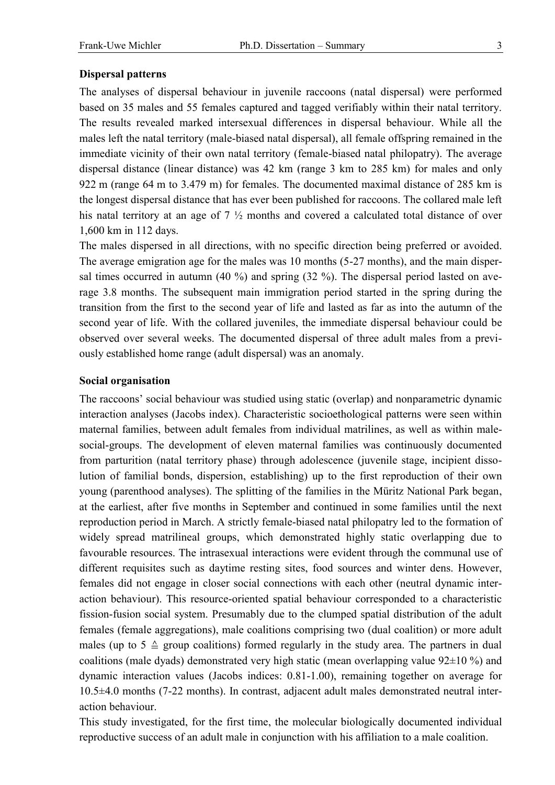## **Dispersal patterns**

The analyses of dispersal behaviour in juvenile raccoons (natal dispersal) were performed based on 35 males and 55 females captured and tagged verifiably within their natal territory. The results revealed marked intersexual differences in dispersal behaviour. While all the males left the natal territory (male-biased natal dispersal), all female offspring remained in the immediate vicinity of their own natal territory (female-biased natal philopatry). The average dispersal distance (linear distance) was 42 km (range 3 km to 285 km) for males and only 922 m (range 64 m to 3.479 m) for females. The documented maximal distance of 285 km is the longest dispersal distance that has ever been published for raccoons. The collared male left his natal territory at an age of 7 ½ months and covered a calculated total distance of over 1,600 km in 112 days.

The males dispersed in all directions, with no specific direction being preferred or avoided. The average emigration age for the males was 10 months (5-27 months), and the main dispersal times occurred in autumn (40 %) and spring (32 %). The dispersal period lasted on average 3.8 months. The subsequent main immigration period started in the spring during the transition from the first to the second year of life and lasted as far as into the autumn of the second year of life. With the collared juveniles, the immediate dispersal behaviour could be observed over several weeks. The documented dispersal of three adult males from a previously established home range (adult dispersal) was an anomaly.

#### **Social organisation**

The raccoons' social behaviour was studied using static (overlap) and nonparametric dynamic interaction analyses (Jacobs index). Characteristic socioethological patterns were seen within maternal families, between adult females from individual matrilines, as well as within malesocial-groups. The development of eleven maternal families was continuously documented from parturition (natal territory phase) through adolescence (juvenile stage, incipient dissolution of familial bonds, dispersion, establishing) up to the first reproduction of their own young (parenthood analyses). The splitting of the families in the Müritz National Park began, at the earliest, after five months in September and continued in some families until the next reproduction period in March. A strictly female-biased natal philopatry led to the formation of widely spread matrilineal groups, which demonstrated highly static overlapping due to favourable resources. The intrasexual interactions were evident through the communal use of different requisites such as daytime resting sites, food sources and winter dens. However, females did not engage in closer social connections with each other (neutral dynamic interaction behaviour). This resource-oriented spatial behaviour corresponded to a characteristic fission-fusion social system. Presumably due to the clumped spatial distribution of the adult females (female aggregations), male coalitions comprising two (dual coalition) or more adult males (up to  $5 \triangleq$  group coalitions) formed regularly in the study area. The partners in dual coalitions (male dyads) demonstrated very high static (mean overlapping value  $92\pm10\%$ ) and dynamic interaction values (Jacobs indices: 0.81-1.00), remaining together on average for 10.5±4.0 months (7-22 months). In contrast, adjacent adult males demonstrated neutral interaction behaviour.

This study investigated, for the first time, the molecular biologically documented individual reproductive success of an adult male in conjunction with his affiliation to a male coalition.